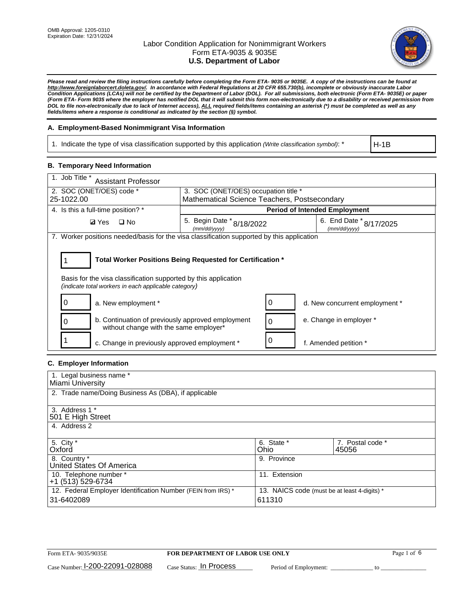

*Please read and review the filing instructions carefully before completing the Form ETA- 9035 or 9035E. A copy of the instructions can be found at [http://www.foreignlaborcert.doleta.gov/.](http://www.foreignlaborcert.doleta.gov/) In accordance with Federal Regulations at 20 CFR 655.730(b), incomplete or obviously inaccurate Labor Condition Applications (LCAs) will not be certified by the Department of Labor (DOL). For all submissions, both electronic (Form ETA- 9035E) or paper (Form ETA- Form 9035 where the employer has notified DOL that it will submit this form non-electronically due to a disability or received permission from DOL to file non-electronically due to lack of Internet access), ALL required fields/items containing an asterisk (\*) must be completed as well as any fields/items where a response is conditional as indicated by the section (§) symbol.* 

### **A. Employment-Based Nonimmigrant Visa Information**

1. Indicate the type of visa classification supported by this application *(Write classification symbol)*: \*

H-1B

#### **B. Temporary Need Information**

| 1. Job Title *<br><b>Assistant Professor</b>                                                                                                                                          |                                              |   |                                         |  |  |
|---------------------------------------------------------------------------------------------------------------------------------------------------------------------------------------|----------------------------------------------|---|-----------------------------------------|--|--|
| 2. SOC (ONET/OES) code *                                                                                                                                                              | 3. SOC (ONET/OES) occupation title *         |   |                                         |  |  |
| 25-1022.00                                                                                                                                                                            | Mathematical Science Teachers, Postsecondary |   |                                         |  |  |
| 4. Is this a full-time position? *                                                                                                                                                    |                                              |   | <b>Period of Intended Employment</b>    |  |  |
| $\square$ No<br><b>Ø</b> Yes                                                                                                                                                          | 5. Begin Date * 8/18/2022<br>(mm/dd/yyyy)    |   | 6. End Date * 8/17/2025<br>(mm/dd/yyyy) |  |  |
| 7. Worker positions needed/basis for the visa classification supported by this application                                                                                            |                                              |   |                                         |  |  |
| Total Worker Positions Being Requested for Certification *<br>Basis for the visa classification supported by this application<br>(indicate total workers in each applicable category) |                                              |   |                                         |  |  |
| a. New employment *                                                                                                                                                                   |                                              |   | d. New concurrent employment *          |  |  |
| b. Continuation of previously approved employment<br>without change with the same employer*                                                                                           |                                              | 0 | e. Change in employer *                 |  |  |
| c. Change in previously approved employment *                                                                                                                                         |                                              | 0 | f. Amended petition *                   |  |  |

# **C. Employer Information**

| 1. Legal business name *                                     |                                              |                  |
|--------------------------------------------------------------|----------------------------------------------|------------------|
| Miami University                                             |                                              |                  |
| 2. Trade name/Doing Business As (DBA), if applicable         |                                              |                  |
|                                                              |                                              |                  |
| 3. Address 1 *                                               |                                              |                  |
| 501 E High Street                                            |                                              |                  |
| 4. Address 2                                                 |                                              |                  |
|                                                              |                                              |                  |
| 5. City *                                                    | 6. State *                                   | 7. Postal code * |
| Oxford                                                       | Ohio                                         | 45056            |
| 8. Country *                                                 | 9. Province                                  |                  |
| United States Of America                                     |                                              |                  |
| 10. Telephone number *                                       | 11. Extension                                |                  |
| +1 (513) 529-6734                                            |                                              |                  |
| 12. Federal Employer Identification Number (FEIN from IRS) * | 13. NAICS code (must be at least 4-digits) * |                  |
| 31-6402089                                                   | 611310                                       |                  |
|                                                              |                                              |                  |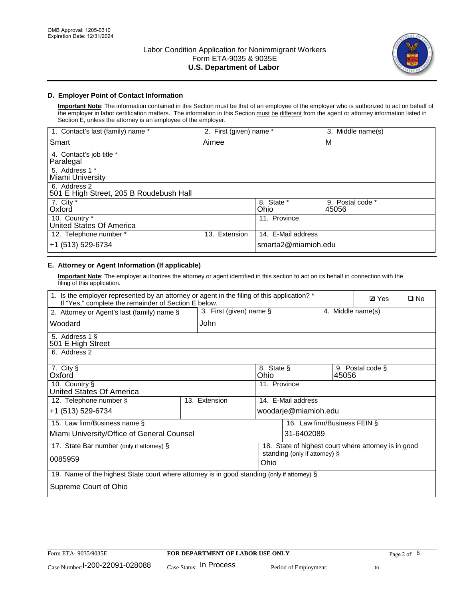

# **D. Employer Point of Contact Information**

**Important Note**: The information contained in this Section must be that of an employee of the employer who is authorized to act on behalf of the employer in labor certification matters. The information in this Section must be different from the agent or attorney information listed in Section E, unless the attorney is an employee of the employer.

| 1. Contact's last (family) name *                       | 2. First (given) name * |                     | 3. Middle name(s)         |
|---------------------------------------------------------|-------------------------|---------------------|---------------------------|
| Smart                                                   | Aimee                   |                     | M                         |
| 4. Contact's job title *<br>Paralegal                   |                         |                     |                           |
| 5. Address 1 *<br>Miami University                      |                         |                     |                           |
| 6. Address 2<br>501 E High Street, 205 B Roudebush Hall |                         |                     |                           |
| 7. City *<br>Oxford                                     |                         | 8. State *<br>Ohio  | 9. Postal code *<br>45056 |
| 10. Country *<br>United States Of America               |                         | 11. Province        |                           |
| 12. Telephone number *                                  | Extension<br>13.        | 14. E-Mail address  |                           |
| +1 (513) 529-6734                                       |                         | smarta2@miamioh.edu |                           |

# **E. Attorney or Agent Information (If applicable)**

**Important Note**: The employer authorizes the attorney or agent identified in this section to act on its behalf in connection with the filing of this application.

| 1. Is the employer represented by an attorney or agent in the filing of this application? *<br>If "Yes," complete the remainder of Section E below. |               |                                              |                                                      |       | <b>Ø</b> Yes     | $\Box$ No |
|-----------------------------------------------------------------------------------------------------------------------------------------------------|---------------|----------------------------------------------|------------------------------------------------------|-------|------------------|-----------|
| 2. Attorney or Agent's last (family) name §                                                                                                         |               | 3. First (given) name §<br>4. Middle name(s) |                                                      |       |                  |           |
| Woodard                                                                                                                                             | John          |                                              |                                                      |       |                  |           |
| 5. Address 1 §<br>501 E High Street                                                                                                                 |               |                                              |                                                      |       |                  |           |
| 6. Address 2                                                                                                                                        |               |                                              |                                                      |       |                  |           |
| 7. City §<br>Oxford                                                                                                                                 |               | 8. State §<br>Ohio                           |                                                      | 45056 | 9. Postal code § |           |
| 10. Country §<br>United States Of America                                                                                                           |               | 11. Province                                 |                                                      |       |                  |           |
| 12. Telephone number §                                                                                                                              | 13. Extension |                                              | 14. E-Mail address                                   |       |                  |           |
| +1 (513) 529-6734                                                                                                                                   |               |                                              | woodarje@miamioh.edu                                 |       |                  |           |
| 15. Law firm/Business name §                                                                                                                        |               |                                              | 16. Law firm/Business FEIN §                         |       |                  |           |
| Miami University/Office of General Counsel                                                                                                          |               |                                              | 31-6402089                                           |       |                  |           |
| 17. State Bar number (only if attorney) §                                                                                                           |               |                                              | 18. State of highest court where attorney is in good |       |                  |           |
| 0085959                                                                                                                                             |               | Ohio                                         | standing (only if attorney) §                        |       |                  |           |
| 19. Name of the highest State court where attorney is in good standing (only if attorney) §                                                         |               |                                              |                                                      |       |                  |           |
| Supreme Court of Ohio                                                                                                                               |               |                                              |                                                      |       |                  |           |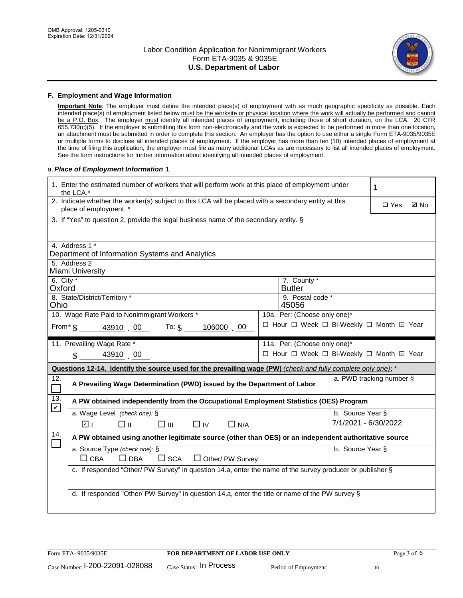

#### **F. Employment and Wage Information**

**Important Note**: The employer must define the intended place(s) of employment with as much geographic specificity as possible. Each intended place(s) of employment listed below must be the worksite or physical location where the work will actually be performed and cannot be a P.O. Box. The employer must identify all intended places of employment, including those of short duration, on the LCA. 20 CFR 655.730(c)(5). If the employer is submitting this form non-electronically and the work is expected to be performed in more than one location, an attachment must be submitted in order to complete this section. An employer has the option to use either a single Form ETA-9035/9035E or multiple forms to disclose all intended places of employment. If the employer has more than ten (10) intended places of employment at the time of filing this application, the employer must file as many additional LCAs as are necessary to list all intended places of employment. See the form instructions for further information about identifying all intended places of employment.

#### a.*Place of Employment Information* 1

|                                                                              | 1. Enter the estimated number of workers that will perform work at this place of employment under<br>1<br>the LCA.*            |  |                              |                      |                                          |  |  |  |
|------------------------------------------------------------------------------|--------------------------------------------------------------------------------------------------------------------------------|--|------------------------------|----------------------|------------------------------------------|--|--|--|
|                                                                              | 2. Indicate whether the worker(s) subject to this LCA will be placed with a secondary entity at this<br>place of employment. * |  | $\square$ Yes<br><b>Z</b> No |                      |                                          |  |  |  |
|                                                                              | 3. If "Yes" to question 2, provide the legal business name of the secondary entity. §                                          |  |                              |                      |                                          |  |  |  |
|                                                                              | 4. Address 1 *                                                                                                                 |  |                              |                      |                                          |  |  |  |
|                                                                              | Department of Information Systems and Analytics<br>5. Address 2                                                                |  |                              |                      |                                          |  |  |  |
|                                                                              | Miami University                                                                                                               |  |                              |                      |                                          |  |  |  |
| 6. City $*$<br>Oxford                                                        |                                                                                                                                |  | 7. County *<br><b>Butler</b> |                      |                                          |  |  |  |
|                                                                              | 8. State/District/Territory *<br>9. Postal code *<br>Ohio<br>45056                                                             |  |                              |                      |                                          |  |  |  |
| 10. Wage Rate Paid to Nonimmigrant Workers *<br>10a. Per: (Choose only one)* |                                                                                                                                |  |                              |                      |                                          |  |  |  |
|                                                                              | □ Hour □ Week □ Bi-Weekly □ Month ☑ Year<br>From $\frac{1}{5}$ 43910 00 To: $\frac{1}{5}$<br>106000 00                         |  |                              |                      |                                          |  |  |  |
|                                                                              | 11. Prevailing Wage Rate *                                                                                                     |  | 11a. Per: (Choose only one)* |                      |                                          |  |  |  |
|                                                                              | 43910 00<br>$\mathcal{S}$                                                                                                      |  |                              |                      | □ Hour □ Week □ Bi-Weekly □ Month 回 Year |  |  |  |
|                                                                              | Questions 12-14. Identify the source used for the prevailing wage (PW) (check and fully complete only one): *                  |  |                              |                      |                                          |  |  |  |
|                                                                              | a. PWD tracking number §<br>A Prevailing Wage Determination (PWD) issued by the Department of Labor                            |  |                              |                      |                                          |  |  |  |
| 12.<br>П                                                                     |                                                                                                                                |  |                              |                      |                                          |  |  |  |
| 13.                                                                          | A PW obtained independently from the Occupational Employment Statistics (OES) Program                                          |  |                              |                      |                                          |  |  |  |
| $\mathbf v$                                                                  | a. Wage Level (check one): §                                                                                                   |  |                              | b. Source Year §     |                                          |  |  |  |
|                                                                              | ☑ ।<br>□⊪<br>□⊪<br>$\Box$ IV<br>$\Box$ N/A                                                                                     |  |                              | 7/1/2021 - 6/30/2022 |                                          |  |  |  |
| 14.                                                                          | A PW obtained using another legitimate source (other than OES) or an independent authoritative source                          |  |                              |                      |                                          |  |  |  |
|                                                                              | a. Source Type (check one): §                                                                                                  |  |                              | b. Source Year §     |                                          |  |  |  |
|                                                                              | $\Box$ CBA<br>$\Box$ DBA<br>$\square$ SCA<br>$\Box$ Other/ PW Survey                                                           |  |                              |                      |                                          |  |  |  |
|                                                                              | c. If responded "Other/ PW Survey" in question 14.a, enter the name of the survey producer or publisher §                      |  |                              |                      |                                          |  |  |  |
|                                                                              |                                                                                                                                |  |                              |                      |                                          |  |  |  |
|                                                                              | d. If responded "Other/ PW Survey" in question 14.a, enter the title or name of the PW survey §                                |  |                              |                      |                                          |  |  |  |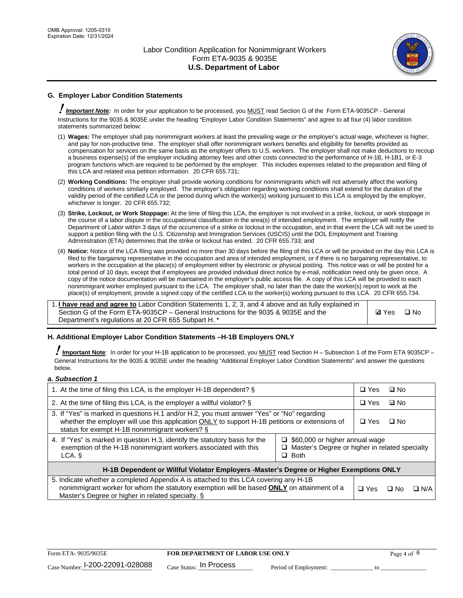

# **G. Employer Labor Condition Statements**

! *Important Note:* In order for your application to be processed, you MUST read Section G of the Form ETA-9035CP - General Instructions for the 9035 & 9035E under the heading "Employer Labor Condition Statements" and agree to all four (4) labor condition statements summarized below:

- (1) **Wages:** The employer shall pay nonimmigrant workers at least the prevailing wage or the employer's actual wage, whichever is higher, and pay for non-productive time. The employer shall offer nonimmigrant workers benefits and eligibility for benefits provided as compensation for services on the same basis as the employer offers to U.S. workers. The employer shall not make deductions to recoup a business expense(s) of the employer including attorney fees and other costs connected to the performance of H-1B, H-1B1, or E-3 program functions which are required to be performed by the employer. This includes expenses related to the preparation and filing of this LCA and related visa petition information. 20 CFR 655.731;
- (2) **Working Conditions:** The employer shall provide working conditions for nonimmigrants which will not adversely affect the working conditions of workers similarly employed. The employer's obligation regarding working conditions shall extend for the duration of the validity period of the certified LCA or the period during which the worker(s) working pursuant to this LCA is employed by the employer, whichever is longer. 20 CFR 655.732;
- (3) **Strike, Lockout, or Work Stoppage:** At the time of filing this LCA, the employer is not involved in a strike, lockout, or work stoppage in the course of a labor dispute in the occupational classification in the area(s) of intended employment. The employer will notify the Department of Labor within 3 days of the occurrence of a strike or lockout in the occupation, and in that event the LCA will not be used to support a petition filing with the U.S. Citizenship and Immigration Services (USCIS) until the DOL Employment and Training Administration (ETA) determines that the strike or lockout has ended. 20 CFR 655.733; and
- (4) **Notice:** Notice of the LCA filing was provided no more than 30 days before the filing of this LCA or will be provided on the day this LCA is filed to the bargaining representative in the occupation and area of intended employment, or if there is no bargaining representative, to workers in the occupation at the place(s) of employment either by electronic or physical posting. This notice was or will be posted for a total period of 10 days, except that if employees are provided individual direct notice by e-mail, notification need only be given once. A copy of the notice documentation will be maintained in the employer's public access file. A copy of this LCA will be provided to each nonimmigrant worker employed pursuant to the LCA. The employer shall, no later than the date the worker(s) report to work at the place(s) of employment, provide a signed copy of the certified LCA to the worker(s) working pursuant to this LCA. 20 CFR 655.734.

1. **I have read and agree to** Labor Condition Statements 1, 2, 3, and 4 above and as fully explained in Section G of the Form ETA-9035CP – General Instructions for the 9035 & 9035E and the Department's regulations at 20 CFR 655 Subpart H. \*

**Ø**Yes ロNo

### **H. Additional Employer Labor Condition Statements –H-1B Employers ONLY**

!**Important Note***:* In order for your H-1B application to be processed, you MUST read Section H – Subsection 1 of the Form ETA 9035CP – General Instructions for the 9035 & 9035E under the heading "Additional Employer Labor Condition Statements" and answer the questions below.

#### *a. Subsection 1*

| 1. At the time of filing this LCA, is the employer H-1B dependent? §                                                                                                                                                                           |                                                                                                          | $\Box$ Yes | ⊡ No |            |  |
|------------------------------------------------------------------------------------------------------------------------------------------------------------------------------------------------------------------------------------------------|----------------------------------------------------------------------------------------------------------|------------|------|------------|--|
| 2. At the time of filing this LCA, is the employer a willful violator? $\S$                                                                                                                                                                    |                                                                                                          |            | ⊡ No |            |  |
| 3. If "Yes" is marked in questions H.1 and/or H.2, you must answer "Yes" or "No" regarding<br>whether the employer will use this application ONLY to support H-1B petitions or extensions of<br>status for exempt H-1B nonimmigrant workers? § |                                                                                                          |            | ∩ No |            |  |
| 4. If "Yes" is marked in question H.3, identify the statutory basis for the<br>exemption of the H-1B nonimmigrant workers associated with this<br>LCA.                                                                                         | $\Box$ \$60,000 or higher annual wage<br>□ Master's Degree or higher in related specialty<br>$\Box$ Both |            |      |            |  |
| H-1B Dependent or Willful Violator Employers -Master's Degree or Higher Exemptions ONLY                                                                                                                                                        |                                                                                                          |            |      |            |  |
| 5. Indicate whether a completed Appendix A is attached to this LCA covering any H-1B<br>nonimmigrant worker for whom the statutory exemption will be based <b>ONLY</b> on attainment of a<br>Master's Degree or higher in related specialty. § |                                                                                                          |            | ⊡ No | $\Box$ N/A |  |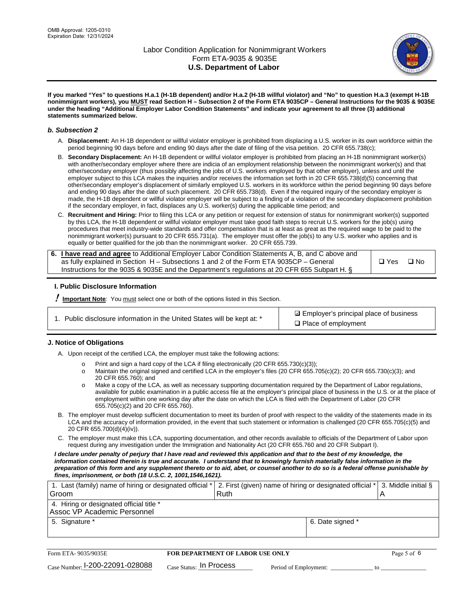

**If you marked "Yes" to questions H.a.1 (H-1B dependent) and/or H.a.2 (H-1B willful violator) and "No" to question H.a.3 (exempt H-1B nonimmigrant workers), you MUST read Section H – Subsection 2 of the Form ETA 9035CP – General Instructions for the 9035 & 9035E under the heading "Additional Employer Labor Condition Statements" and indicate your agreement to all three (3) additional statements summarized below.**

#### *b. Subsection 2*

- A. **Displacement:** An H-1B dependent or willful violator employer is prohibited from displacing a U.S. worker in its own workforce within the period beginning 90 days before and ending 90 days after the date of filing of the visa petition. 20 CFR 655.738(c);
- B. **Secondary Displacement:** An H-1B dependent or willful violator employer is prohibited from placing an H-1B nonimmigrant worker(s) with another/secondary employer where there are indicia of an employment relationship between the nonimmigrant worker(s) and that other/secondary employer (thus possibly affecting the jobs of U.S. workers employed by that other employer), unless and until the employer subject to this LCA makes the inquiries and/or receives the information set forth in 20 CFR 655.738(d)(5) concerning that other/secondary employer's displacement of similarly employed U.S. workers in its workforce within the period beginning 90 days before and ending 90 days after the date of such placement. 20 CFR 655.738(d). Even if the required inquiry of the secondary employer is made, the H-1B dependent or willful violator employer will be subject to a finding of a violation of the secondary displacement prohibition if the secondary employer, in fact, displaces any U.S. worker(s) during the applicable time period; and
- C. **Recruitment and Hiring:** Prior to filing this LCA or any petition or request for extension of status for nonimmigrant worker(s) supported by this LCA, the H-1B dependent or willful violator employer must take good faith steps to recruit U.S. workers for the job(s) using procedures that meet industry-wide standards and offer compensation that is at least as great as the required wage to be paid to the nonimmigrant worker(s) pursuant to 20 CFR 655.731(a). The employer must offer the job(s) to any U.S. worker who applies and is equally or better qualified for the job than the nonimmigrant worker. 20 CFR 655.739.

| 6. I have read and agree to Additional Employer Labor Condition Statements A, B, and C above and |       |           |
|--------------------------------------------------------------------------------------------------|-------|-----------|
| as fully explained in Section H – Subsections 1 and 2 of the Form ETA 9035CP – General           | □ Yes | $\Box$ No |
| Instructions for the 9035 & 9035 E and the Department's regulations at 20 CFR 655 Subpart H. §   |       |           |

### **I. Public Disclosure Information**

! **Important Note***:* You must select one or both of the options listed in this Section.

| 1. Public disclosure information in the United States will be kept at: * |  |  |  |  |  |  |  |
|--------------------------------------------------------------------------|--|--|--|--|--|--|--|
|--------------------------------------------------------------------------|--|--|--|--|--|--|--|

**sqrt** Employer's principal place of business □ Place of employment

### **J. Notice of Obligations**

A. Upon receipt of the certified LCA, the employer must take the following actions:

- o Print and sign a hard copy of the LCA if filing electronically (20 CFR 655.730(c)(3));<br>
Maintain the original signed and certified LCA in the employer's files (20 CFR 655.7
- Maintain the original signed and certified LCA in the employer's files (20 CFR 655.705(c)(2); 20 CFR 655.730(c)(3); and 20 CFR 655.760); and
- o Make a copy of the LCA, as well as necessary supporting documentation required by the Department of Labor regulations, available for public examination in a public access file at the employer's principal place of business in the U.S. or at the place of employment within one working day after the date on which the LCA is filed with the Department of Labor (20 CFR 655.705(c)(2) and 20 CFR 655.760).
- B. The employer must develop sufficient documentation to meet its burden of proof with respect to the validity of the statements made in its LCA and the accuracy of information provided, in the event that such statement or information is challenged (20 CFR 655.705(c)(5) and 20 CFR 655.700(d)(4)(iv)).
- C. The employer must make this LCA, supporting documentation, and other records available to officials of the Department of Labor upon request during any investigation under the Immigration and Nationality Act (20 CFR 655.760 and 20 CFR Subpart I).

*I declare under penalty of perjury that I have read and reviewed this application and that to the best of my knowledge, the*  information contained therein is true and accurate. I understand that to knowingly furnish materially false information in the *preparation of this form and any supplement thereto or to aid, abet, or counsel another to do so is a federal offense punishable by fines, imprisonment, or both (18 U.S.C. 2, 1001,1546,1621).*

| 1. Last (family) name of hiring or designated official * 2. First (given) name of hiring or designated official * 3. Middle initial § |  |
|---------------------------------------------------------------------------------------------------------------------------------------|--|
| Ruth                                                                                                                                  |  |
|                                                                                                                                       |  |
| 6. Date signed *                                                                                                                      |  |
|                                                                                                                                       |  |